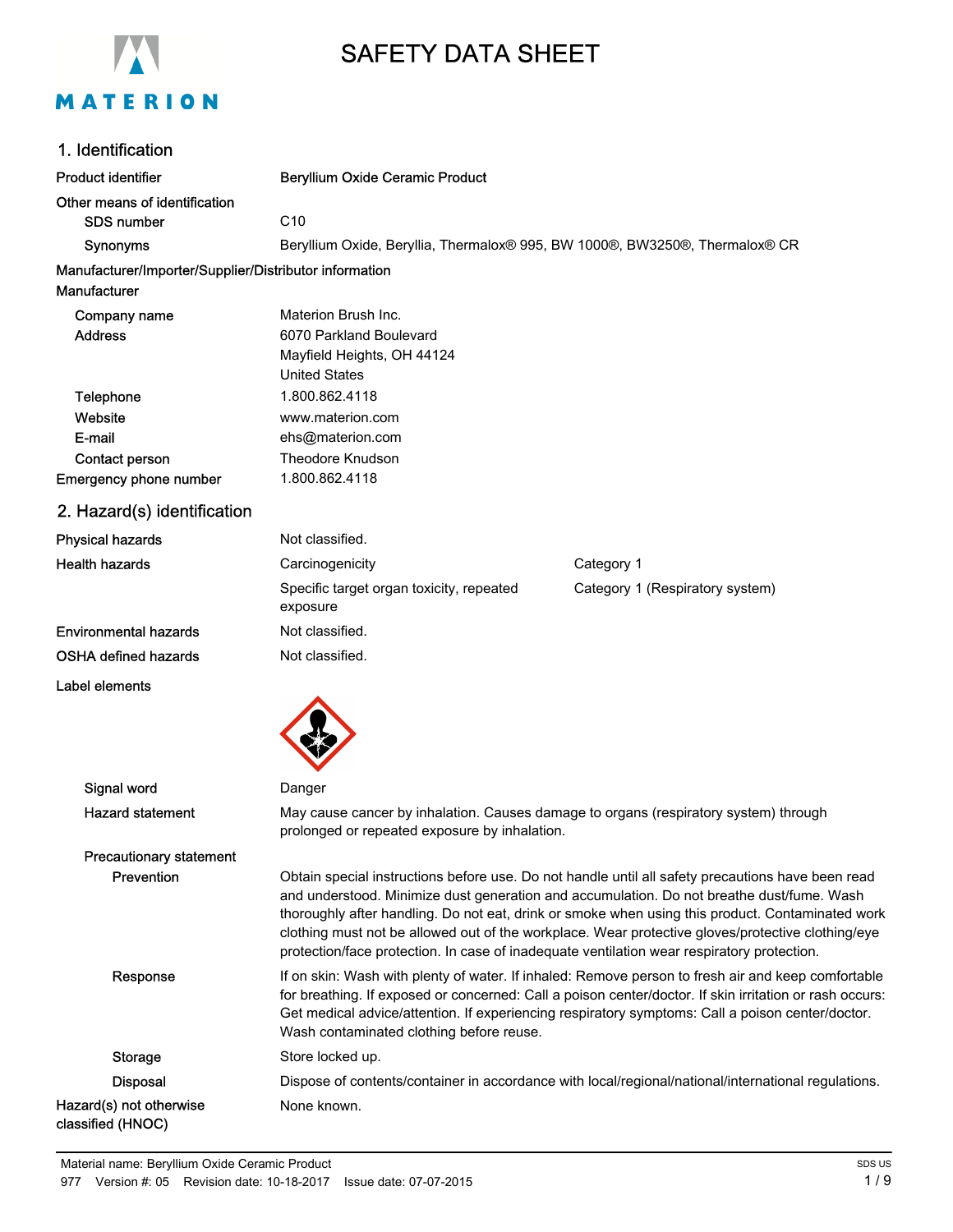

# SAFETY DATA SHEET

### 1. Identification

| 1. Identification                                      |                                                                                                                                       |                                                                                                                                                                                                                                                                                                                                                                                                                                                                                                       |
|--------------------------------------------------------|---------------------------------------------------------------------------------------------------------------------------------------|-------------------------------------------------------------------------------------------------------------------------------------------------------------------------------------------------------------------------------------------------------------------------------------------------------------------------------------------------------------------------------------------------------------------------------------------------------------------------------------------------------|
| <b>Product identifier</b>                              | <b>Beryllium Oxide Ceramic Product</b>                                                                                                |                                                                                                                                                                                                                                                                                                                                                                                                                                                                                                       |
| Other means of identification<br>SDS number            | C10                                                                                                                                   |                                                                                                                                                                                                                                                                                                                                                                                                                                                                                                       |
| Synonyms                                               | Beryllium Oxide, Beryllia, Thermalox® 995, BW 1000®, BW3250®, Thermalox® CR                                                           |                                                                                                                                                                                                                                                                                                                                                                                                                                                                                                       |
| Manufacturer/Importer/Supplier/Distributor information |                                                                                                                                       |                                                                                                                                                                                                                                                                                                                                                                                                                                                                                                       |
| Manufacturer                                           |                                                                                                                                       |                                                                                                                                                                                                                                                                                                                                                                                                                                                                                                       |
| Company name                                           | Materion Brush Inc.                                                                                                                   |                                                                                                                                                                                                                                                                                                                                                                                                                                                                                                       |
| <b>Address</b>                                         | 6070 Parkland Boulevard                                                                                                               |                                                                                                                                                                                                                                                                                                                                                                                                                                                                                                       |
|                                                        | Mayfield Heights, OH 44124                                                                                                            |                                                                                                                                                                                                                                                                                                                                                                                                                                                                                                       |
|                                                        | <b>United States</b>                                                                                                                  |                                                                                                                                                                                                                                                                                                                                                                                                                                                                                                       |
| Telephone                                              | 1.800.862.4118                                                                                                                        |                                                                                                                                                                                                                                                                                                                                                                                                                                                                                                       |
| Website<br>E-mail                                      | www.materion.com<br>ehs@materion.com                                                                                                  |                                                                                                                                                                                                                                                                                                                                                                                                                                                                                                       |
| Contact person                                         | <b>Theodore Knudson</b>                                                                                                               |                                                                                                                                                                                                                                                                                                                                                                                                                                                                                                       |
| <b>Emergency phone number</b>                          | 1.800.862.4118                                                                                                                        |                                                                                                                                                                                                                                                                                                                                                                                                                                                                                                       |
| 2. Hazard(s) identification                            |                                                                                                                                       |                                                                                                                                                                                                                                                                                                                                                                                                                                                                                                       |
|                                                        |                                                                                                                                       |                                                                                                                                                                                                                                                                                                                                                                                                                                                                                                       |
| <b>Physical hazards</b>                                | Not classified.                                                                                                                       |                                                                                                                                                                                                                                                                                                                                                                                                                                                                                                       |
| <b>Health hazards</b>                                  | Carcinogenicity                                                                                                                       | Category 1                                                                                                                                                                                                                                                                                                                                                                                                                                                                                            |
|                                                        | Specific target organ toxicity, repeated<br>exposure                                                                                  | Category 1 (Respiratory system)                                                                                                                                                                                                                                                                                                                                                                                                                                                                       |
| <b>Environmental hazards</b>                           | Not classified.                                                                                                                       |                                                                                                                                                                                                                                                                                                                                                                                                                                                                                                       |
| <b>OSHA defined hazards</b>                            | Not classified.                                                                                                                       |                                                                                                                                                                                                                                                                                                                                                                                                                                                                                                       |
| Label elements                                         |                                                                                                                                       |                                                                                                                                                                                                                                                                                                                                                                                                                                                                                                       |
|                                                        |                                                                                                                                       |                                                                                                                                                                                                                                                                                                                                                                                                                                                                                                       |
| Signal word                                            | Danger                                                                                                                                |                                                                                                                                                                                                                                                                                                                                                                                                                                                                                                       |
| <b>Hazard statement</b>                                | May cause cancer by inhalation. Causes damage to organs (respiratory system) through<br>prolonged or repeated exposure by inhalation. |                                                                                                                                                                                                                                                                                                                                                                                                                                                                                                       |
| <b>Precautionary statement</b>                         |                                                                                                                                       |                                                                                                                                                                                                                                                                                                                                                                                                                                                                                                       |
| Prevention                                             |                                                                                                                                       | Obtain special instructions before use. Do not handle until all safety precautions have been read<br>and understood. Minimize dust generation and accumulation. Do not breathe dust/fume. Wash<br>thoroughly after handling. Do not eat, drink or smoke when using this product. Contaminated work<br>clothing must not be allowed out of the workplace. Wear protective gloves/protective clothing/eye<br>protection/face protection. In case of inadequate ventilation wear respiratory protection. |
| Response                                               |                                                                                                                                       | If on skin: Wash with plenty of water. If inhaled: Remove person to fresh air and keep comfortable                                                                                                                                                                                                                                                                                                                                                                                                    |

for breathing. If exposed or concerned: Call a poison center/doctor. If skin irritation or rash occurs: Get medical advice/attention. If experiencing respiratory symptoms: Call a poison center/doctor. Wash contaminated clothing before reuse. Storage Store locked up. Disposal Dispose of contents/container in accordance with local/regional/national/international regulations. Hazard(s) not otherwise classified (HNOC) None known.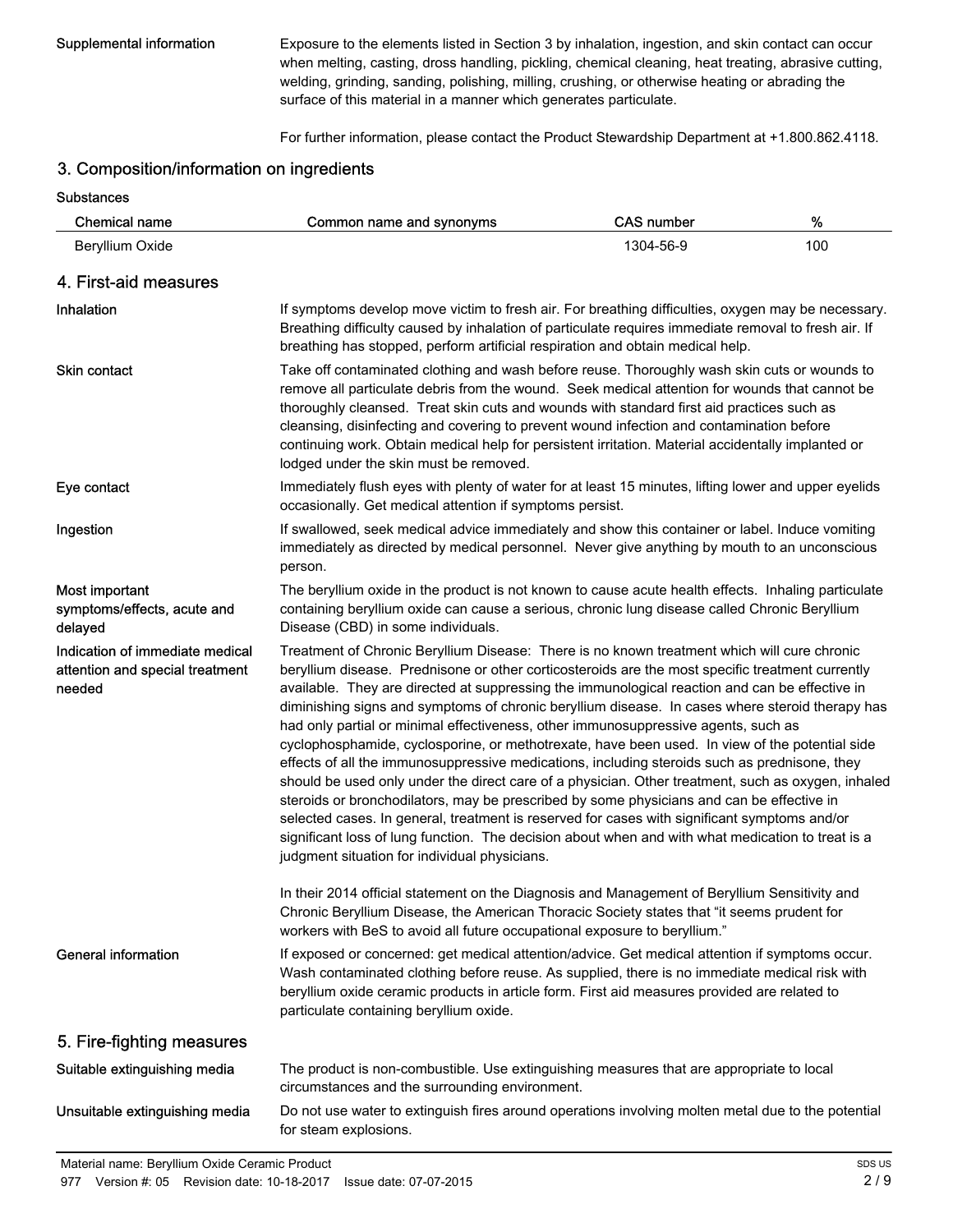**Substances** 

Supplemental information Exposure to the elements listed in Section 3 by inhalation, ingestion, and skin contact can occur when melting, casting, dross handling, pickling, chemical cleaning, heat treating, abrasive cutting, welding, grinding, sanding, polishing, milling, crushing, or otherwise heating or abrading the surface of this material in a manner which generates particulate.

For further information, please contact the Product Stewardship Department at +1.800.862.4118.

## 3. Composition/information on ingredients

| <b>Chemical name</b>                                                         | Common name and synonyms                                                                                                                                                                                                                                                                                                                                                                                                                                                                                                                                                                                                                                                                                                                                                                                                                                                                                                                                                                                                                                                                                                                               | <b>CAS number</b>                                                                                                                                                                                                                                                                                                                                                                                                                                                                             | %   |
|------------------------------------------------------------------------------|--------------------------------------------------------------------------------------------------------------------------------------------------------------------------------------------------------------------------------------------------------------------------------------------------------------------------------------------------------------------------------------------------------------------------------------------------------------------------------------------------------------------------------------------------------------------------------------------------------------------------------------------------------------------------------------------------------------------------------------------------------------------------------------------------------------------------------------------------------------------------------------------------------------------------------------------------------------------------------------------------------------------------------------------------------------------------------------------------------------------------------------------------------|-----------------------------------------------------------------------------------------------------------------------------------------------------------------------------------------------------------------------------------------------------------------------------------------------------------------------------------------------------------------------------------------------------------------------------------------------------------------------------------------------|-----|
| Beryllium Oxide                                                              |                                                                                                                                                                                                                                                                                                                                                                                                                                                                                                                                                                                                                                                                                                                                                                                                                                                                                                                                                                                                                                                                                                                                                        | 1304-56-9                                                                                                                                                                                                                                                                                                                                                                                                                                                                                     | 100 |
| 4. First-aid measures                                                        |                                                                                                                                                                                                                                                                                                                                                                                                                                                                                                                                                                                                                                                                                                                                                                                                                                                                                                                                                                                                                                                                                                                                                        |                                                                                                                                                                                                                                                                                                                                                                                                                                                                                               |     |
| Inhalation                                                                   | If symptoms develop move victim to fresh air. For breathing difficulties, oxygen may be necessary.<br>Breathing difficulty caused by inhalation of particulate requires immediate removal to fresh air. If<br>breathing has stopped, perform artificial respiration and obtain medical help.                                                                                                                                                                                                                                                                                                                                                                                                                                                                                                                                                                                                                                                                                                                                                                                                                                                           |                                                                                                                                                                                                                                                                                                                                                                                                                                                                                               |     |
| <b>Skin contact</b>                                                          | lodged under the skin must be removed.                                                                                                                                                                                                                                                                                                                                                                                                                                                                                                                                                                                                                                                                                                                                                                                                                                                                                                                                                                                                                                                                                                                 | Take off contaminated clothing and wash before reuse. Thoroughly wash skin cuts or wounds to<br>remove all particulate debris from the wound. Seek medical attention for wounds that cannot be<br>thoroughly cleansed. Treat skin cuts and wounds with standard first aid practices such as<br>cleansing, disinfecting and covering to prevent wound infection and contamination before<br>continuing work. Obtain medical help for persistent irritation. Material accidentally implanted or |     |
| Eye contact                                                                  | Immediately flush eyes with plenty of water for at least 15 minutes, lifting lower and upper eyelids<br>occasionally. Get medical attention if symptoms persist.                                                                                                                                                                                                                                                                                                                                                                                                                                                                                                                                                                                                                                                                                                                                                                                                                                                                                                                                                                                       |                                                                                                                                                                                                                                                                                                                                                                                                                                                                                               |     |
| Ingestion                                                                    | If swallowed, seek medical advice immediately and show this container or label. Induce vomiting<br>immediately as directed by medical personnel. Never give anything by mouth to an unconscious<br>person.                                                                                                                                                                                                                                                                                                                                                                                                                                                                                                                                                                                                                                                                                                                                                                                                                                                                                                                                             |                                                                                                                                                                                                                                                                                                                                                                                                                                                                                               |     |
| Most important<br>symptoms/effects, acute and<br>delayed                     | The beryllium oxide in the product is not known to cause acute health effects. Inhaling particulate<br>containing beryllium oxide can cause a serious, chronic lung disease called Chronic Beryllium<br>Disease (CBD) in some individuals.                                                                                                                                                                                                                                                                                                                                                                                                                                                                                                                                                                                                                                                                                                                                                                                                                                                                                                             |                                                                                                                                                                                                                                                                                                                                                                                                                                                                                               |     |
| Indication of immediate medical<br>attention and special treatment<br>needed | Treatment of Chronic Beryllium Disease: There is no known treatment which will cure chronic<br>beryllium disease. Prednisone or other corticosteroids are the most specific treatment currently<br>available. They are directed at suppressing the immunological reaction and can be effective in<br>diminishing signs and symptoms of chronic beryllium disease. In cases where steroid therapy has<br>had only partial or minimal effectiveness, other immunosuppressive agents, such as<br>cyclophosphamide, cyclosporine, or methotrexate, have been used. In view of the potential side<br>effects of all the immunosuppressive medications, including steroids such as prednisone, they<br>should be used only under the direct care of a physician. Other treatment, such as oxygen, inhaled<br>steroids or bronchodilators, may be prescribed by some physicians and can be effective in<br>selected cases. In general, treatment is reserved for cases with significant symptoms and/or<br>significant loss of lung function. The decision about when and with what medication to treat is a<br>judgment situation for individual physicians. |                                                                                                                                                                                                                                                                                                                                                                                                                                                                                               |     |
|                                                                              | In their 2014 official statement on the Diagnosis and Management of Beryllium Sensitivity and<br>Chronic Beryllium Disease, the American Thoracic Society states that "it seems prudent for<br>workers with BeS to avoid all future occupational exposure to beryllium."                                                                                                                                                                                                                                                                                                                                                                                                                                                                                                                                                                                                                                                                                                                                                                                                                                                                               |                                                                                                                                                                                                                                                                                                                                                                                                                                                                                               |     |
| <b>General information</b>                                                   | If exposed or concerned: get medical attention/advice. Get medical attention if symptoms occur.<br>Wash contaminated clothing before reuse. As supplied, there is no immediate medical risk with<br>beryllium oxide ceramic products in article form. First aid measures provided are related to<br>particulate containing beryllium oxide.                                                                                                                                                                                                                                                                                                                                                                                                                                                                                                                                                                                                                                                                                                                                                                                                            |                                                                                                                                                                                                                                                                                                                                                                                                                                                                                               |     |
| 5. Fire-fighting measures                                                    |                                                                                                                                                                                                                                                                                                                                                                                                                                                                                                                                                                                                                                                                                                                                                                                                                                                                                                                                                                                                                                                                                                                                                        |                                                                                                                                                                                                                                                                                                                                                                                                                                                                                               |     |
| Suitable extinguishing media                                                 | The product is non-combustible. Use extinguishing measures that are appropriate to local<br>circumstances and the surrounding environment.                                                                                                                                                                                                                                                                                                                                                                                                                                                                                                                                                                                                                                                                                                                                                                                                                                                                                                                                                                                                             |                                                                                                                                                                                                                                                                                                                                                                                                                                                                                               |     |
| Unsuitable extinguishing media                                               | Do not use water to extinguish fires around operations involving molten metal due to the potential<br>for steam explosions.                                                                                                                                                                                                                                                                                                                                                                                                                                                                                                                                                                                                                                                                                                                                                                                                                                                                                                                                                                                                                            |                                                                                                                                                                                                                                                                                                                                                                                                                                                                                               |     |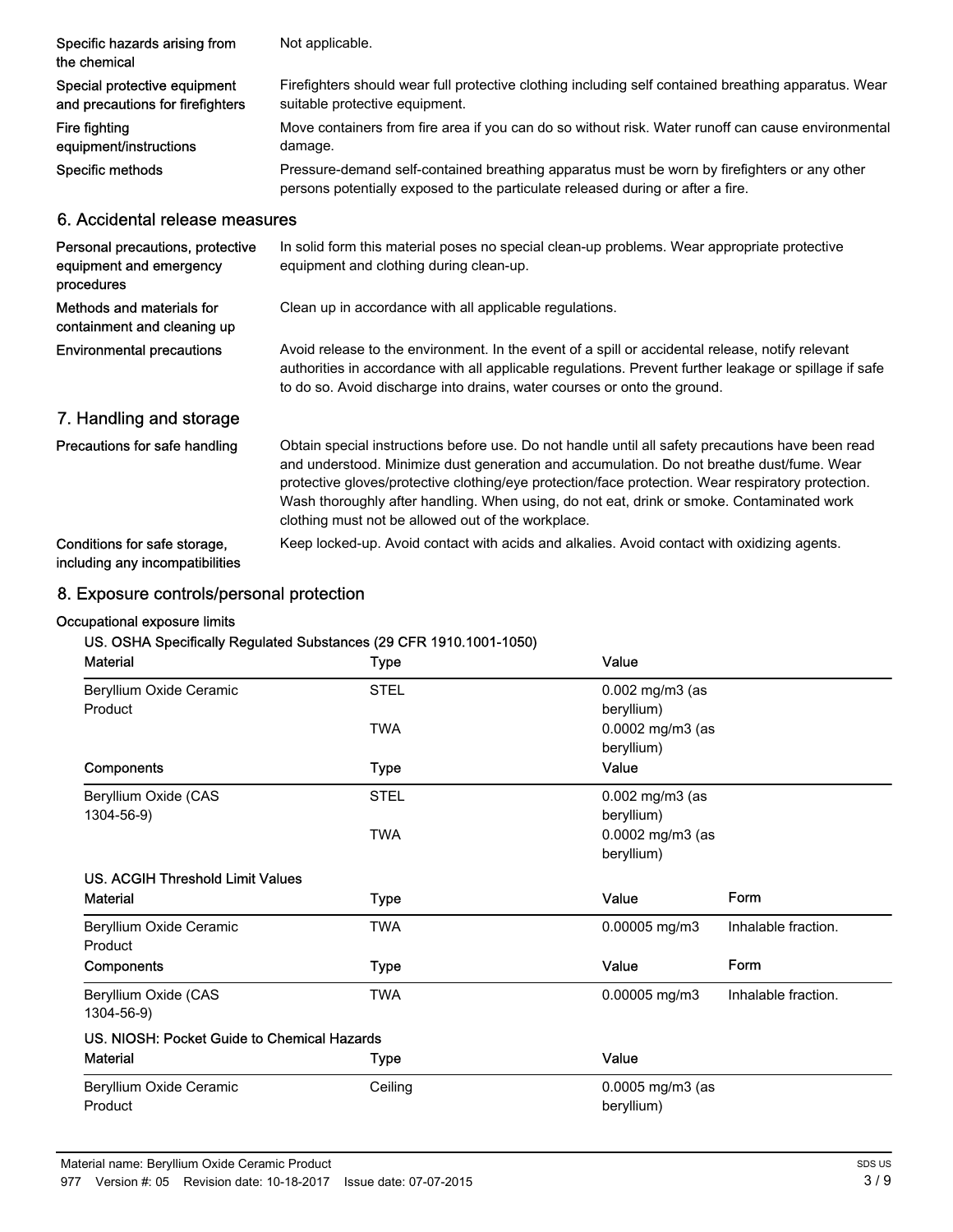| Specific hazards arising from<br>the chemical | Not applicable.                                                                                                                                                                 |
|-----------------------------------------------|---------------------------------------------------------------------------------------------------------------------------------------------------------------------------------|
| Special protective equipment                  | Firefighters should wear full protective clothing including self contained breathing apparatus. Wear                                                                            |
| and precautions for firefighters              | suitable protective equipment.                                                                                                                                                  |
| Fire fighting                                 | Move containers from fire area if you can do so without risk. Water runoff can cause environmental                                                                              |
| equipment/instructions                        | damage.                                                                                                                                                                         |
| Specific methods                              | Pressure-demand self-contained breathing apparatus must be worn by firefighters or any other<br>persons potentially exposed to the particulate released during or after a fire. |
| 6. Accidental release measures                |                                                                                                                                                                                 |
| Personal precautions, protective              | In solid form this material poses no special clean-up problems. Wear appropriate protective                                                                                     |
| equipment and emergency                       | equipment and clothing during clean-up                                                                                                                                          |

| equipment and emergency<br>procedures                           | equipment and clothing during clean-up.                                                                                                                                                                                                                                                                                                                                                                                                                 |
|-----------------------------------------------------------------|---------------------------------------------------------------------------------------------------------------------------------------------------------------------------------------------------------------------------------------------------------------------------------------------------------------------------------------------------------------------------------------------------------------------------------------------------------|
| Methods and materials for<br>containment and cleaning up        | Clean up in accordance with all applicable regulations.                                                                                                                                                                                                                                                                                                                                                                                                 |
| <b>Environmental precautions</b>                                | Avoid release to the environment. In the event of a spill or accidental release, notify relevant<br>authorities in accordance with all applicable regulations. Prevent further leakage or spillage if safe<br>to do so. Avoid discharge into drains, water courses or onto the ground.                                                                                                                                                                  |
| 7. Handling and storage                                         |                                                                                                                                                                                                                                                                                                                                                                                                                                                         |
| Precautions for safe handling                                   | Obtain special instructions before use. Do not handle until all safety precautions have been read<br>and understood. Minimize dust generation and accumulation. Do not breathe dust/fume. Wear<br>protective gloves/protective clothing/eye protection/face protection. Wear respiratory protection.<br>Wash thoroughly after handling. When using, do not eat, drink or smoke. Contaminated work<br>clothing must not be allowed out of the workplace. |
| Conditions for safe storage.<br>including any incompatibilities | Keep locked-up. Avoid contact with acids and alkalies. Avoid contact with oxidizing agents.                                                                                                                                                                                                                                                                                                                                                             |

## 8. Exposure controls/personal protection

## Occupational exposure limits

## US. OSHA Specifically Regulated Substances (29 CFR 1910.1001-1050)

| <b>Material</b>                             | <b>Type</b> | Value                              |                     |
|---------------------------------------------|-------------|------------------------------------|---------------------|
| Beryllium Oxide Ceramic<br>Product          | <b>STEL</b> | $0.002$ mg/m $3$ (as<br>beryllium) |                     |
|                                             | <b>TWA</b>  | 0.0002 mg/m3 (as<br>beryllium)     |                     |
| Components                                  | <b>Type</b> | Value                              |                     |
| Beryllium Oxide (CAS                        | <b>STEL</b> | $0.002$ mg/m $3$ (as               |                     |
| 1304-56-9)                                  |             | beryllium)                         |                     |
|                                             | <b>TWA</b>  | 0.0002 mg/m3 (as                   |                     |
|                                             |             | beryllium)                         |                     |
| US. ACGIH Threshold Limit Values            |             |                                    |                     |
| <b>Material</b>                             | <b>Type</b> | Value                              | Form                |
| Beryllium Oxide Ceramic<br>Product          | <b>TWA</b>  | 0.00005 mg/m3                      | Inhalable fraction. |
| Components                                  | Type        | Value                              | Form                |
| Beryllium Oxide (CAS                        | <b>TWA</b>  | 0.00005 mg/m3                      | Inhalable fraction. |
| 1304-56-9)                                  |             |                                    |                     |
| US. NIOSH: Pocket Guide to Chemical Hazards |             |                                    |                     |
| <b>Material</b>                             | Type        | Value                              |                     |
| Beryllium Oxide Ceramic                     | Ceiling     | $0.0005$ mg/m $3$ (as              |                     |
| Product                                     |             | beryllium)                         |                     |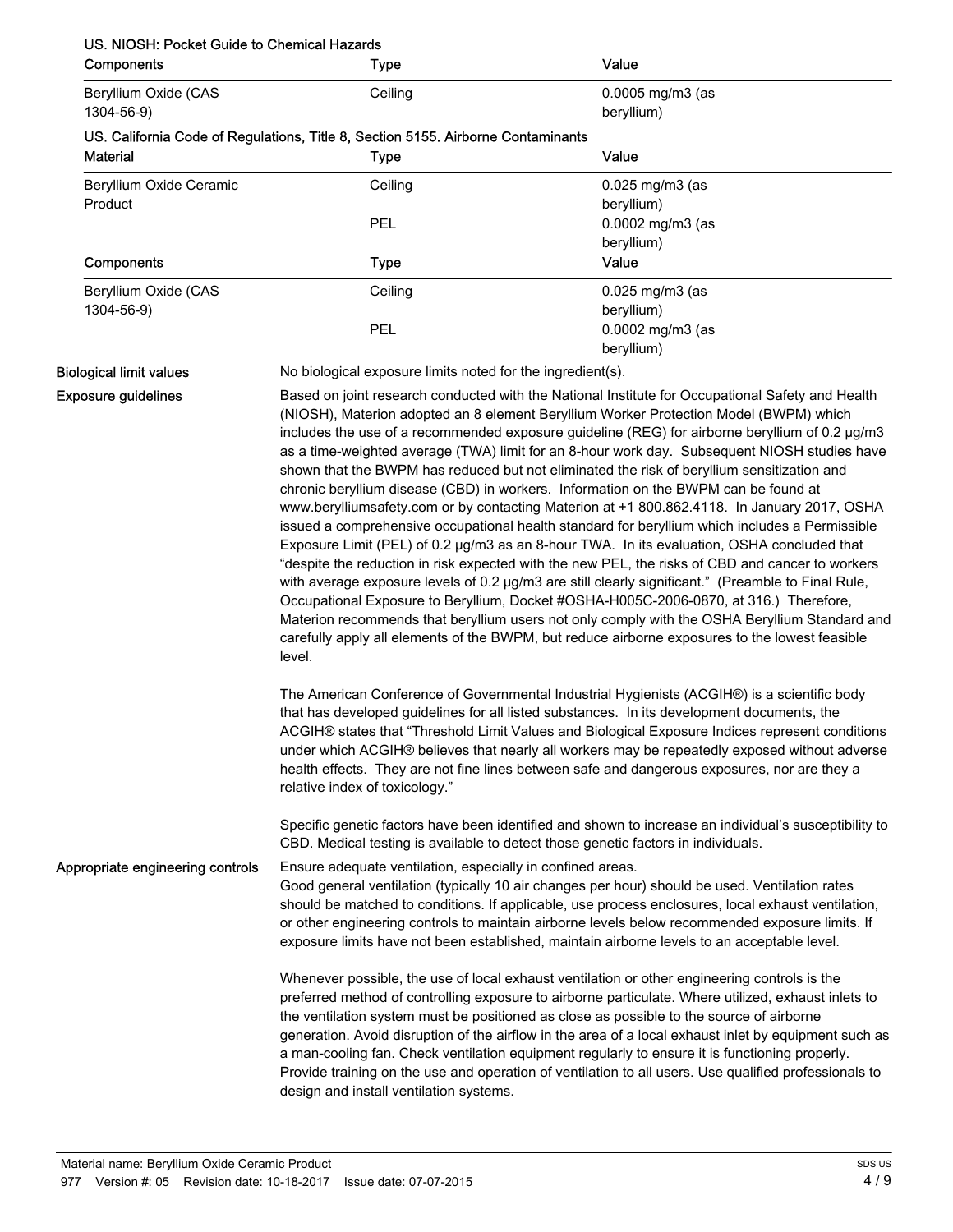## US. NIOSH: Pocket Guide to Chemical Hazards

| Components                         | <b>Type</b>                                                                                                                                                                                                                                                                                                                                                                                                                                                                                                                                                                                                                                                                                                                                                                                                                                                                                                                                                                                                                                                                                                                                                                                                                                                                                                                                                                                                                                                   | Value                                                                                                                                                                                                                                                                                                                                                                                                                                                                                                                                                                                                               |
|------------------------------------|---------------------------------------------------------------------------------------------------------------------------------------------------------------------------------------------------------------------------------------------------------------------------------------------------------------------------------------------------------------------------------------------------------------------------------------------------------------------------------------------------------------------------------------------------------------------------------------------------------------------------------------------------------------------------------------------------------------------------------------------------------------------------------------------------------------------------------------------------------------------------------------------------------------------------------------------------------------------------------------------------------------------------------------------------------------------------------------------------------------------------------------------------------------------------------------------------------------------------------------------------------------------------------------------------------------------------------------------------------------------------------------------------------------------------------------------------------------|---------------------------------------------------------------------------------------------------------------------------------------------------------------------------------------------------------------------------------------------------------------------------------------------------------------------------------------------------------------------------------------------------------------------------------------------------------------------------------------------------------------------------------------------------------------------------------------------------------------------|
| Beryllium Oxide (CAS<br>1304-56-9) | Ceiling                                                                                                                                                                                                                                                                                                                                                                                                                                                                                                                                                                                                                                                                                                                                                                                                                                                                                                                                                                                                                                                                                                                                                                                                                                                                                                                                                                                                                                                       | $0.0005$ mg/m $3$ (as<br>beryllium)                                                                                                                                                                                                                                                                                                                                                                                                                                                                                                                                                                                 |
| <b>Material</b>                    | US. California Code of Regulations, Title 8, Section 5155. Airborne Contaminants<br><b>Type</b>                                                                                                                                                                                                                                                                                                                                                                                                                                                                                                                                                                                                                                                                                                                                                                                                                                                                                                                                                                                                                                                                                                                                                                                                                                                                                                                                                               | Value                                                                                                                                                                                                                                                                                                                                                                                                                                                                                                                                                                                                               |
| Beryllium Oxide Ceramic<br>Product | Ceiling<br>PEL                                                                                                                                                                                                                                                                                                                                                                                                                                                                                                                                                                                                                                                                                                                                                                                                                                                                                                                                                                                                                                                                                                                                                                                                                                                                                                                                                                                                                                                | $0.025$ mg/m $3$ (as<br>beryllium)<br>0.0002 mg/m3 (as                                                                                                                                                                                                                                                                                                                                                                                                                                                                                                                                                              |
| Components                         | <b>Type</b>                                                                                                                                                                                                                                                                                                                                                                                                                                                                                                                                                                                                                                                                                                                                                                                                                                                                                                                                                                                                                                                                                                                                                                                                                                                                                                                                                                                                                                                   | beryllium)<br>Value                                                                                                                                                                                                                                                                                                                                                                                                                                                                                                                                                                                                 |
| Beryllium Oxide (CAS<br>1304-56-9) | Ceiling                                                                                                                                                                                                                                                                                                                                                                                                                                                                                                                                                                                                                                                                                                                                                                                                                                                                                                                                                                                                                                                                                                                                                                                                                                                                                                                                                                                                                                                       | $0.025$ mg/m $3$ (as<br>beryllium)                                                                                                                                                                                                                                                                                                                                                                                                                                                                                                                                                                                  |
|                                    | <b>PEL</b>                                                                                                                                                                                                                                                                                                                                                                                                                                                                                                                                                                                                                                                                                                                                                                                                                                                                                                                                                                                                                                                                                                                                                                                                                                                                                                                                                                                                                                                    | 0.0002 mg/m3 (as<br>beryllium)                                                                                                                                                                                                                                                                                                                                                                                                                                                                                                                                                                                      |
| <b>Biological limit values</b>     |                                                                                                                                                                                                                                                                                                                                                                                                                                                                                                                                                                                                                                                                                                                                                                                                                                                                                                                                                                                                                                                                                                                                                                                                                                                                                                                                                                                                                                                               |                                                                                                                                                                                                                                                                                                                                                                                                                                                                                                                                                                                                                     |
| <b>Exposure guidelines</b>         | No biological exposure limits noted for the ingredient(s).<br>Based on joint research conducted with the National Institute for Occupational Safety and Health<br>(NIOSH), Materion adopted an 8 element Beryllium Worker Protection Model (BWPM) which<br>includes the use of a recommended exposure guideline (REG) for airborne beryllium of 0.2 µg/m3<br>as a time-weighted average (TWA) limit for an 8-hour work day. Subsequent NIOSH studies have<br>shown that the BWPM has reduced but not eliminated the risk of beryllium sensitization and<br>chronic beryllium disease (CBD) in workers. Information on the BWPM can be found at<br>www.berylliumsafety.com or by contacting Materion at +1 800.862.4118. In January 2017, OSHA<br>issued a comprehensive occupational health standard for beryllium which includes a Permissible<br>Exposure Limit (PEL) of 0.2 µg/m3 as an 8-hour TWA. In its evaluation, OSHA concluded that<br>"despite the reduction in risk expected with the new PEL, the risks of CBD and cancer to workers<br>with average exposure levels of 0.2 µg/m3 are still clearly significant." (Preamble to Final Rule,<br>Occupational Exposure to Beryllium, Docket #OSHA-H005C-2006-0870, at 316.) Therefore,<br>Materion recommends that beryllium users not only comply with the OSHA Beryllium Standard and<br>carefully apply all elements of the BWPM, but reduce airborne exposures to the lowest feasible<br>level. |                                                                                                                                                                                                                                                                                                                                                                                                                                                                                                                                                                                                                     |
|                                    | relative index of toxicology."                                                                                                                                                                                                                                                                                                                                                                                                                                                                                                                                                                                                                                                                                                                                                                                                                                                                                                                                                                                                                                                                                                                                                                                                                                                                                                                                                                                                                                | The American Conference of Governmental Industrial Hygienists (ACGIH®) is a scientific body<br>that has developed guidelines for all listed substances. In its development documents, the<br>ACGIH® states that "Threshold Limit Values and Biological Exposure Indices represent conditions<br>under which ACGIH® believes that nearly all workers may be repeatedly exposed without adverse<br>health effects. They are not fine lines between safe and dangerous exposures, nor are they a<br>Specific genetic factors have been identified and shown to increase an individual's susceptibility to              |
|                                    |                                                                                                                                                                                                                                                                                                                                                                                                                                                                                                                                                                                                                                                                                                                                                                                                                                                                                                                                                                                                                                                                                                                                                                                                                                                                                                                                                                                                                                                               | CBD. Medical testing is available to detect those genetic factors in individuals.                                                                                                                                                                                                                                                                                                                                                                                                                                                                                                                                   |
| Appropriate engineering controls   | Ensure adequate ventilation, especially in confined areas.                                                                                                                                                                                                                                                                                                                                                                                                                                                                                                                                                                                                                                                                                                                                                                                                                                                                                                                                                                                                                                                                                                                                                                                                                                                                                                                                                                                                    | Good general ventilation (typically 10 air changes per hour) should be used. Ventilation rates<br>should be matched to conditions. If applicable, use process enclosures, local exhaust ventilation,<br>or other engineering controls to maintain airborne levels below recommended exposure limits. If<br>exposure limits have not been established, maintain airborne levels to an acceptable level.                                                                                                                                                                                                              |
|                                    |                                                                                                                                                                                                                                                                                                                                                                                                                                                                                                                                                                                                                                                                                                                                                                                                                                                                                                                                                                                                                                                                                                                                                                                                                                                                                                                                                                                                                                                               | Whenever possible, the use of local exhaust ventilation or other engineering controls is the<br>preferred method of controlling exposure to airborne particulate. Where utilized, exhaust inlets to<br>the ventilation system must be positioned as close as possible to the source of airborne<br>generation. Avoid disruption of the airflow in the area of a local exhaust inlet by equipment such as<br>a man-cooling fan. Check ventilation equipment regularly to ensure it is functioning properly.<br>Provide training on the use and operation of ventilation to all users. Use qualified professionals to |

design and install ventilation systems.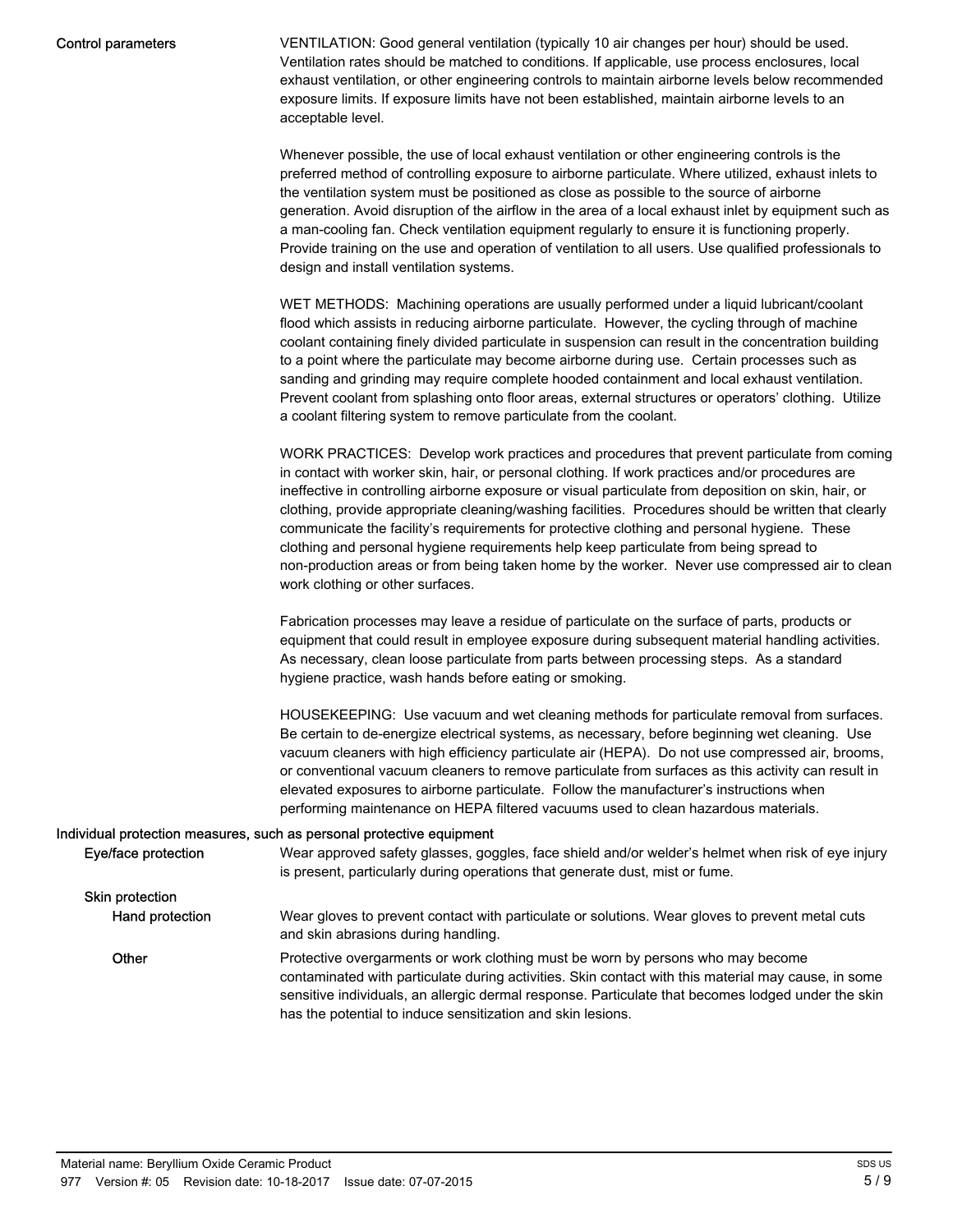#### Control parameters

VENTILATION: Good general ventilation (typically 10 air changes per hour) should be used. Ventilation rates should be matched to conditions. If applicable, use process enclosures, local exhaust ventilation, or other engineering controls to maintain airborne levels below recommended exposure limits. If exposure limits have not been established, maintain airborne levels to an acceptable level.

Whenever possible, the use of local exhaust ventilation or other engineering controls is the preferred method of controlling exposure to airborne particulate. Where utilized, exhaust inlets to the ventilation system must be positioned as close as possible to the source of airborne generation. Avoid disruption of the airflow in the area of a local exhaust inlet by equipment such as a man-cooling fan. Check ventilation equipment regularly to ensure it is functioning properly. Provide training on the use and operation of ventilation to all users. Use qualified professionals to design and install ventilation systems.

WET METHODS: Machining operations are usually performed under a liquid lubricant/coolant flood which assists in reducing airborne particulate. However, the cycling through of machine coolant containing finely divided particulate in suspension can result in the concentration building to a point where the particulate may become airborne during use. Certain processes such as sanding and grinding may require complete hooded containment and local exhaust ventilation. Prevent coolant from splashing onto floor areas, external structures or operators' clothing. Utilize a coolant filtering system to remove particulate from the coolant.

WORK PRACTICES: Develop work practices and procedures that prevent particulate from coming in contact with worker skin, hair, or personal clothing. If work practices and/or procedures are ineffective in controlling airborne exposure or visual particulate from deposition on skin, hair, or clothing, provide appropriate cleaning/washing facilities. Procedures should be written that clearly communicate the facility's requirements for protective clothing and personal hygiene. These clothing and personal hygiene requirements help keep particulate from being spread to non-production areas or from being taken home by the worker. Never use compressed air to clean work clothing or other surfaces.

Fabrication processes may leave a residue of particulate on the surface of parts, products or equipment that could result in employee exposure during subsequent material handling activities. As necessary, clean loose particulate from parts between processing steps. As a standard hygiene practice, wash hands before eating or smoking.

HOUSEKEEPING: Use vacuum and wet cleaning methods for particulate removal from surfaces. Be certain to de-energize electrical systems, as necessary, before beginning wet cleaning. Use vacuum cleaners with high efficiency particulate air (HEPA). Do not use compressed air, brooms, or conventional vacuum cleaners to remove particulate from surfaces as this activity can result in elevated exposures to airborne particulate. Follow the manufacturer's instructions when performing maintenance on HEPA filtered vacuums used to clean hazardous materials.

#### Individual protection measures, such as personal protective equipment

| Eye/face protection    | Wear approved safety glasses, goggles, face shield and/or welder's helmet when risk of eye injury<br>is present, particularly during operations that generate dust, mist or fume.                                                                                                                                                                           |
|------------------------|-------------------------------------------------------------------------------------------------------------------------------------------------------------------------------------------------------------------------------------------------------------------------------------------------------------------------------------------------------------|
| <b>Skin protection</b> |                                                                                                                                                                                                                                                                                                                                                             |
| Hand protection        | Wear gloves to prevent contact with particulate or solutions. Wear gloves to prevent metal cuts<br>and skin abrasions during handling.                                                                                                                                                                                                                      |
| Other                  | Protective overgarments or work clothing must be worn by persons who may become<br>contaminated with particulate during activities. Skin contact with this material may cause, in some<br>sensitive individuals, an allergic dermal response. Particulate that becomes lodged under the skin<br>has the potential to induce sensitization and skin lesions. |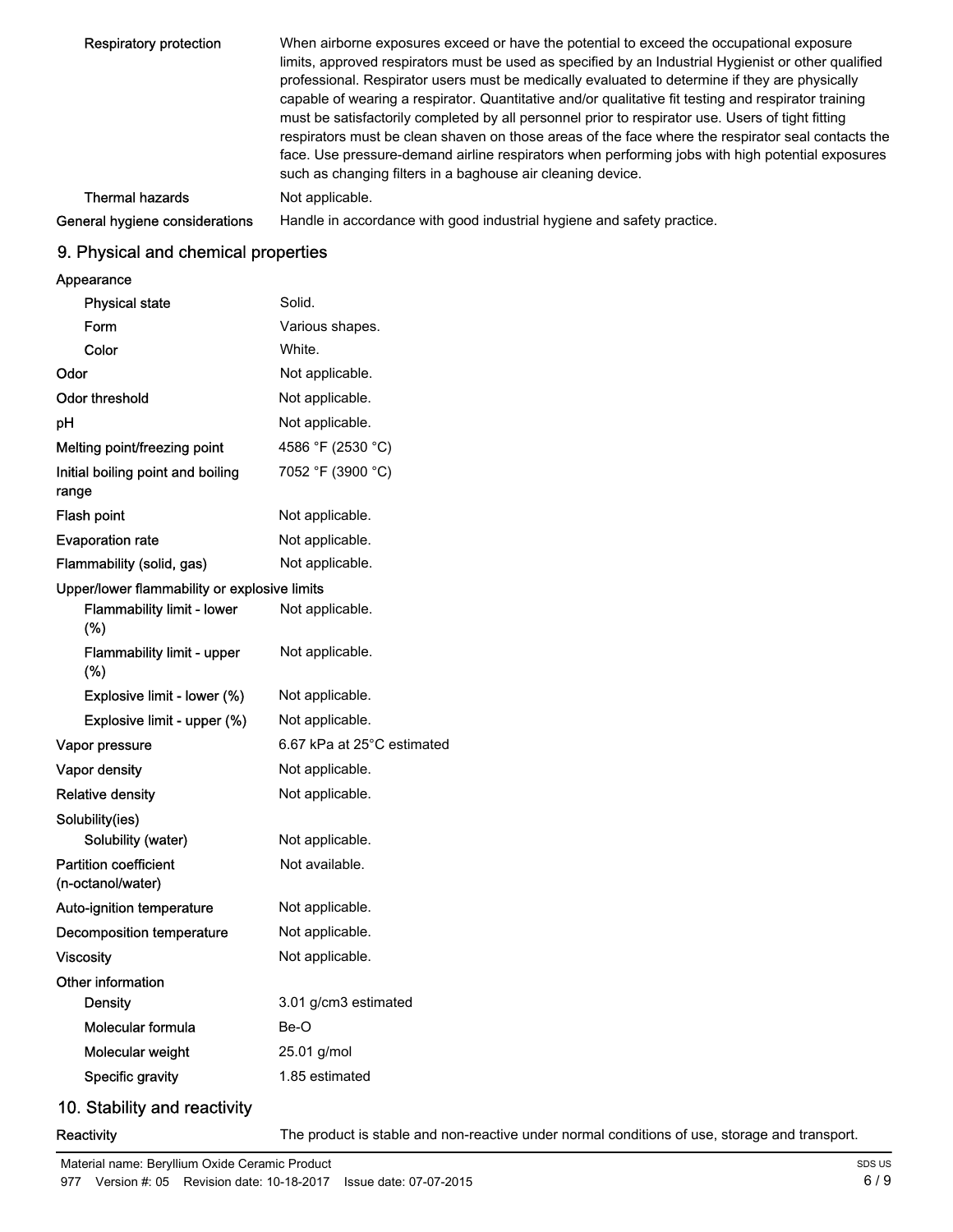| Respiratory protection         | When airborne exposures exceed or have the potential to exceed the occupational exposure<br>limits, approved respirators must be used as specified by an Industrial Hygienist or other qualified<br>professional. Respirator users must be medically evaluated to determine if they are physically<br>capable of wearing a respirator. Quantitative and/or qualitative fit testing and respirator training<br>must be satisfactorily completed by all personnel prior to respirator use. Users of tight fitting<br>respirators must be clean shaven on those areas of the face where the respirator seal contacts the<br>face. Use pressure-demand airline respirators when performing jobs with high potential exposures<br>such as changing filters in a baghouse air cleaning device. |
|--------------------------------|------------------------------------------------------------------------------------------------------------------------------------------------------------------------------------------------------------------------------------------------------------------------------------------------------------------------------------------------------------------------------------------------------------------------------------------------------------------------------------------------------------------------------------------------------------------------------------------------------------------------------------------------------------------------------------------------------------------------------------------------------------------------------------------|
| <b>Thermal hazards</b>         | Not applicable.                                                                                                                                                                                                                                                                                                                                                                                                                                                                                                                                                                                                                                                                                                                                                                          |
| General hygiene considerations | Handle in accordance with good industrial hygiene and safety practice.                                                                                                                                                                                                                                                                                                                                                                                                                                                                                                                                                                                                                                                                                                                   |
|                                |                                                                                                                                                                                                                                                                                                                                                                                                                                                                                                                                                                                                                                                                                                                                                                                          |

## 9. Physical and chemical properties

## Appearance

| Physical state                                    | Solid.                     |
|---------------------------------------------------|----------------------------|
| Form                                              | Various shapes.            |
| Color                                             | White.                     |
| Odor                                              | Not applicable.            |
| Odor threshold                                    | Not applicable.            |
| рH                                                | Not applicable.            |
| Melting point/freezing point                      | 4586 °F (2530 °C)          |
| Initial boiling point and boiling<br>range        | 7052 °F (3900 °C)          |
| Flash point                                       | Not applicable.            |
| <b>Evaporation rate</b>                           | Not applicable.            |
| Flammability (solid, gas)                         | Not applicable.            |
| Upper/lower flammability or explosive limits      |                            |
| <b>Flammability limit - lower</b><br>(%)          | Not applicable.            |
| Flammability limit - upper<br>(%)                 | Not applicable.            |
| Explosive limit - lower (%)                       | Not applicable.            |
| Explosive limit - upper (%)                       | Not applicable.            |
| Vapor pressure                                    | 6.67 kPa at 25°C estimated |
| Vapor density                                     | Not applicable.            |
| Relative density                                  | Not applicable.            |
| Solubility(ies)                                   |                            |
| Solubility (water)                                | Not applicable.            |
| <b>Partition coefficient</b><br>(n-octanol/water) | Not available.             |
| Auto-ignition temperature                         | Not applicable.            |
| Decomposition temperature                         | Not applicable.            |
| Viscosity                                         | Not applicable.            |
| Other information                                 |                            |
| <b>Density</b>                                    | 3.01 g/cm3 estimated       |
| Molecular formula                                 | Be-O                       |
| Molecular weight                                  | 25.01 g/mol                |
| Specific gravity                                  | 1.85 estimated             |
|                                                   |                            |

## 10. Stability and reactivity

Reactivity The product is stable and non-reactive under normal conditions of use, storage and transport.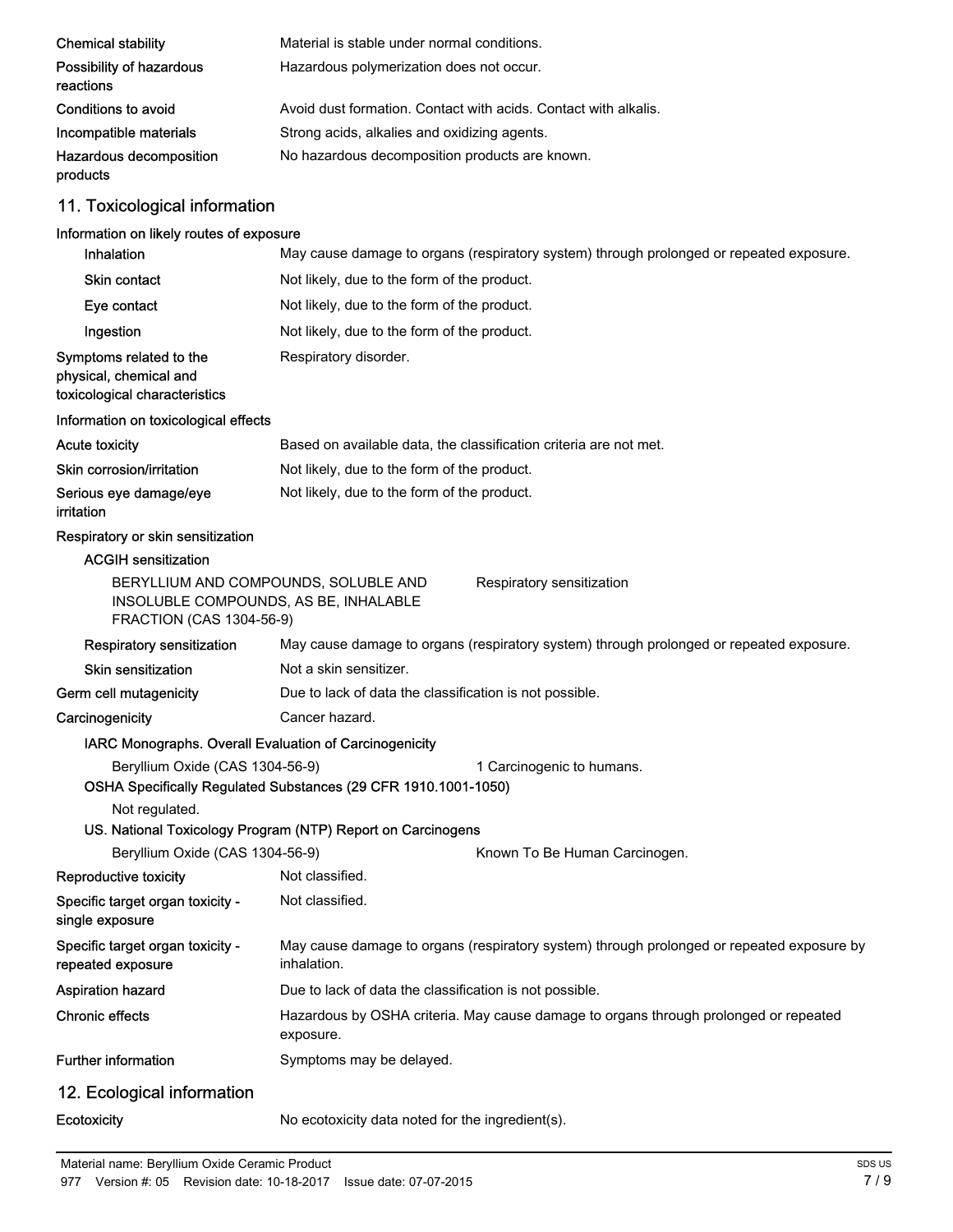| <b>Chemical stability</b>                                                                                 | Material is stable under normal conditions.                                                              |  |  |
|-----------------------------------------------------------------------------------------------------------|----------------------------------------------------------------------------------------------------------|--|--|
| Possibility of hazardous<br>reactions                                                                     | Hazardous polymerization does not occur.                                                                 |  |  |
| Conditions to avoid                                                                                       | Avoid dust formation. Contact with acids. Contact with alkalis.                                          |  |  |
| Incompatible materials                                                                                    | Strong acids, alkalies and oxidizing agents.                                                             |  |  |
| Hazardous decomposition<br>products                                                                       | No hazardous decomposition products are known.                                                           |  |  |
| 11. Toxicological information                                                                             |                                                                                                          |  |  |
| Information on likely routes of exposure                                                                  |                                                                                                          |  |  |
| Inhalation                                                                                                | May cause damage to organs (respiratory system) through prolonged or repeated exposure.                  |  |  |
| <b>Skin contact</b>                                                                                       | Not likely, due to the form of the product.                                                              |  |  |
| Eye contact                                                                                               | Not likely, due to the form of the product.                                                              |  |  |
| Ingestion                                                                                                 | Not likely, due to the form of the product.                                                              |  |  |
| Symptoms related to the<br>physical, chemical and<br>toxicological characteristics                        | Respiratory disorder.                                                                                    |  |  |
| Information on toxicological effects                                                                      |                                                                                                          |  |  |
| <b>Acute toxicity</b>                                                                                     | Based on available data, the classification criteria are not met.                                        |  |  |
| Skin corrosion/irritation                                                                                 | Not likely, due to the form of the product.                                                              |  |  |
| Serious eye damage/eye<br>irritation                                                                      | Not likely, due to the form of the product.                                                              |  |  |
| Respiratory or skin sensitization                                                                         |                                                                                                          |  |  |
| <b>ACGIH sensitization</b>                                                                                |                                                                                                          |  |  |
| BERYLLIUM AND COMPOUNDS, SOLUBLE AND<br>INSOLUBLE COMPOUNDS, AS BE, INHALABLE<br>FRACTION (CAS 1304-56-9) | Respiratory sensitization                                                                                |  |  |
| Respiratory sensitization                                                                                 | May cause damage to organs (respiratory system) through prolonged or repeated exposure.                  |  |  |
| <b>Skin sensitization</b>                                                                                 | Not a skin sensitizer.                                                                                   |  |  |
| Germ cell mutagenicity                                                                                    | Due to lack of data the classification is not possible.                                                  |  |  |
| Carcinogenicity                                                                                           | Cancer hazard.                                                                                           |  |  |
| IARC Monographs. Overall Evaluation of Carcinogenicity                                                    |                                                                                                          |  |  |
| Beryllium Oxide (CAS 1304-56-9)                                                                           | 1 Carcinogenic to humans.<br>OSHA Specifically Regulated Substances (29 CFR 1910.1001-1050)              |  |  |
| Not regulated.                                                                                            |                                                                                                          |  |  |
|                                                                                                           | US. National Toxicology Program (NTP) Report on Carcinogens                                              |  |  |
| Beryllium Oxide (CAS 1304-56-9)                                                                           | Known To Be Human Carcinogen.                                                                            |  |  |
| Reproductive toxicity                                                                                     | Not classified.                                                                                          |  |  |
| Specific target organ toxicity -<br>single exposure                                                       | Not classified.                                                                                          |  |  |
| Specific target organ toxicity -<br>repeated exposure                                                     | May cause damage to organs (respiratory system) through prolonged or repeated exposure by<br>inhalation. |  |  |
| Aspiration hazard                                                                                         | Due to lack of data the classification is not possible.                                                  |  |  |
| <b>Chronic effects</b>                                                                                    | Hazardous by OSHA criteria. May cause damage to organs through prolonged or repeated<br>exposure.        |  |  |
| <b>Further information</b>                                                                                | Symptoms may be delayed.                                                                                 |  |  |
| 12. Ecological information                                                                                |                                                                                                          |  |  |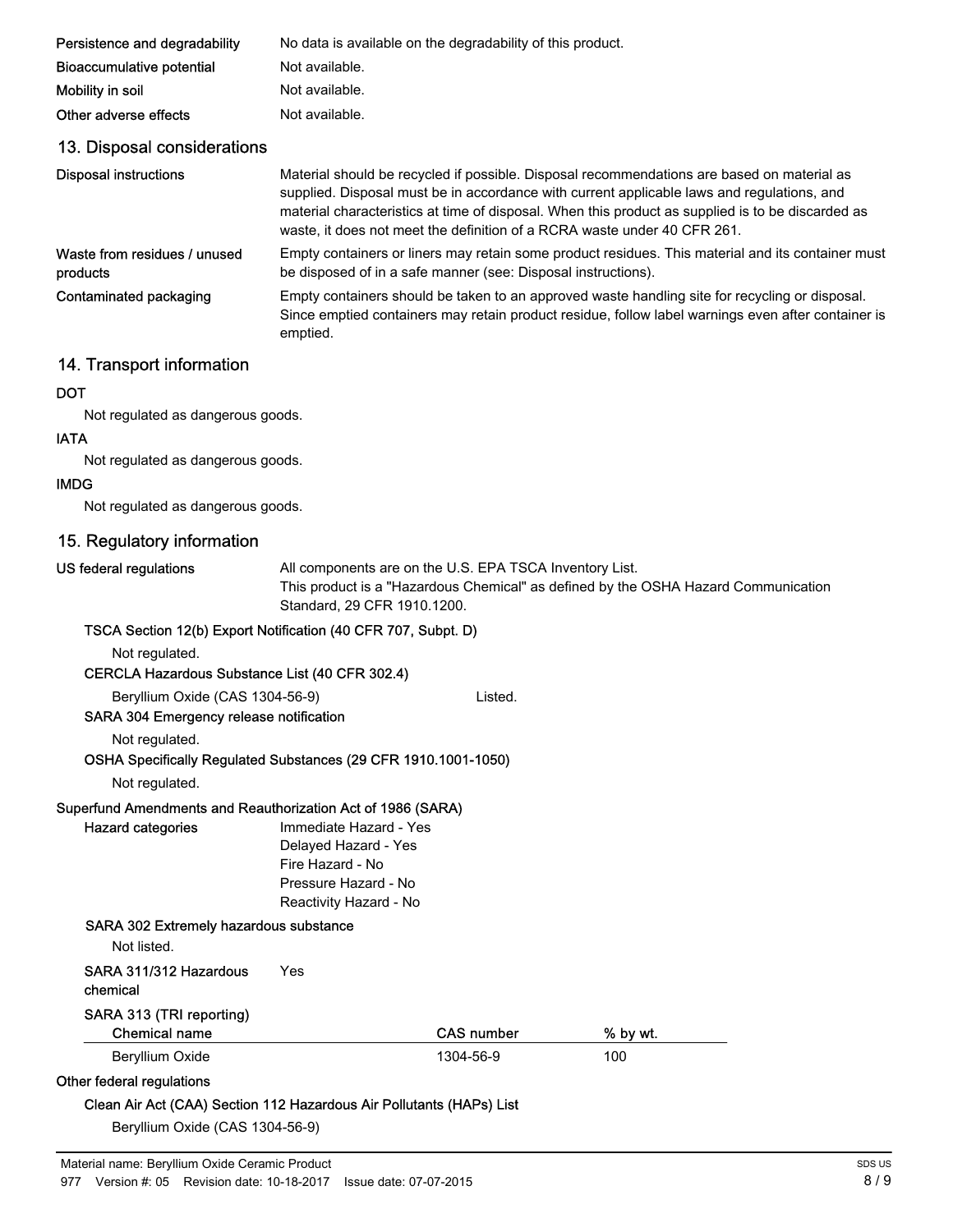| Persistence and degradability            | No data is available on the degradability of this product.                                                                                                                                                                                                                                                                                                                |
|------------------------------------------|---------------------------------------------------------------------------------------------------------------------------------------------------------------------------------------------------------------------------------------------------------------------------------------------------------------------------------------------------------------------------|
| Bioaccumulative potential                | Not available.                                                                                                                                                                                                                                                                                                                                                            |
| Mobility in soil                         | Not available.                                                                                                                                                                                                                                                                                                                                                            |
| Other adverse effects                    | Not available.                                                                                                                                                                                                                                                                                                                                                            |
| 13. Disposal considerations              |                                                                                                                                                                                                                                                                                                                                                                           |
| <b>Disposal instructions</b>             | Material should be recycled if possible. Disposal recommendations are based on material as<br>supplied. Disposal must be in accordance with current applicable laws and regulations, and<br>material characteristics at time of disposal. When this product as supplied is to be discarded as<br>waste, it does not meet the definition of a RCRA waste under 40 CFR 261. |
| Waste from residues / unused<br>products | Empty containers or liners may retain some product residues. This material and its container must<br>be disposed of in a safe manner (see: Disposal instructions).                                                                                                                                                                                                        |
| Contaminated packaging                   | Empty containers should be taken to an approved waste handling site for recycling or disposal.<br>Since emptied containers may retain product residue, follow label warnings even after container is<br>emptied.                                                                                                                                                          |

## 14. Transport information

#### **DOT**

Not regulated as dangerous goods.

#### IATA

Not regulated as dangerous goods.

#### IMDG

Not regulated as dangerous goods.

## 15. Regulatory information

#### US federal regulations

All components are on the U.S. EPA TSCA Inventory List. This product is a "Hazardous Chemical" as defined by the OSHA Hazard Communication Standard, 29 CFR 1910.1200.

#### TSCA Section 12(b) Export Notification (40 CFR 707, Subpt. D)

Not regulated.

#### CERCLA Hazardous Substance List (40 CFR 302.4)

Beryllium Oxide (CAS 1304-56-9) Listed.

#### SARA 304 Emergency release notification

Not regulated.

#### OSHA Specifically Regulated Substances (29 CFR 1910.1001-1050)

Not regulated.

Hazard categories

#### Superfund Amendments and Reauthorization Act of 1986 (SARA)

Immediate Hazard - Yes Delayed Hazard - Yes Fire Hazard - No Pressure Hazard - No Reactivity Hazard - No

#### SARA 302 Extremely hazardous substance

Not listed.

#### SARA 311/312 Hazardous Yes

chemical

#### SARA 313 (TRI reporting)

| Chemical name   | <b>CAS number</b> | % by wt. |
|-----------------|-------------------|----------|
| Beryllium Oxide | 1304-56-9         | 100      |

## Other federal regulations

## Clean Air Act (CAA) Section 112 Hazardous Air Pollutants (HAPs) List

Beryllium Oxide (CAS 1304-56-9)